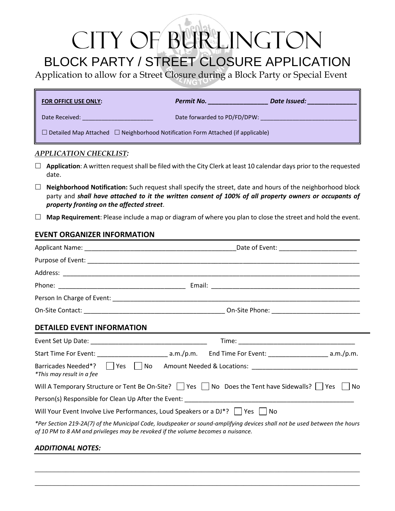# CITY OF BURLINGTON BLOCK PARTY / STREET CLOSURE APPLICATION

Application to allow for a Street Closure during a Block Party or Special Event

| <b>FOR OFFICE USE ONLY:</b>                                                                 | Permit No.<br>Date Issued:   |  |
|---------------------------------------------------------------------------------------------|------------------------------|--|
| Date Received:                                                                              | Date forwarded to PD/FD/DPW: |  |
| $\Box$ Detailed Map Attached $\Box$ Neighborhood Notification Form Attached (if applicable) |                              |  |

### *APPLICATION CHECKLIST:*

- **Application**: A written request shall be filed with the City Clerk at least 10 calendar days prior to the requested date.
- **Neighborhood Notification:** Such request shall specify the street, date and hours of the neighborhood block party and *shall have attached to it the written consent of 100% of all property owners or occupants of property fronting on the affected street*.
- **Map Requirement**: Please include a map or diagram of where you plan to close the street and hold the event.

## **EVENT ORGANIZER INFORMATION**

| <b>DETAILED EVENT INFORMATION</b> |                                                                                                                                                                                                               |  |  |
|-----------------------------------|---------------------------------------------------------------------------------------------------------------------------------------------------------------------------------------------------------------|--|--|
|                                   |                                                                                                                                                                                                               |  |  |
|                                   |                                                                                                                                                                                                               |  |  |
| *This may result in a fee         | Barricades Needed*?   Yes   No Amount Needed & Locations: ______________________                                                                                                                              |  |  |
|                                   | Will A Temporary Structure or Tent Be On-Site? Ves No Does the Tent have Sidewalls? Yes No                                                                                                                    |  |  |
|                                   |                                                                                                                                                                                                               |  |  |
|                                   | Will Your Event Involve Live Performances, Loud Speakers or a $DJ^*$ ?     Yes     No                                                                                                                         |  |  |
|                                   | *Per Section 219-2A(7) of the Municipal Code, loudspeaker or sound-amplifying devices shall not be used between the hours<br>of 10 PM to 8 AM and privileges may be revoked if the volume becomes a nuisance. |  |  |
| <b>ADDITIONAL NOTES:</b>          |                                                                                                                                                                                                               |  |  |

\_\_\_\_\_\_\_\_\_\_\_\_\_\_\_\_\_\_\_\_\_\_\_\_\_\_\_\_\_\_\_\_\_\_\_\_\_\_\_\_\_\_\_\_\_\_\_\_\_\_\_\_\_\_\_\_\_\_\_\_\_\_\_\_\_\_\_\_\_\_\_\_\_\_\_\_\_\_\_\_\_\_\_\_

\_\_\_\_\_\_\_\_\_\_\_\_\_\_\_\_\_\_\_\_\_\_\_\_\_\_\_\_\_\_\_\_\_\_\_\_\_\_\_\_\_\_\_\_\_\_\_\_\_\_\_\_\_\_\_\_\_\_\_\_\_\_\_\_\_\_\_\_\_\_\_\_\_\_\_\_\_\_\_\_\_\_\_\_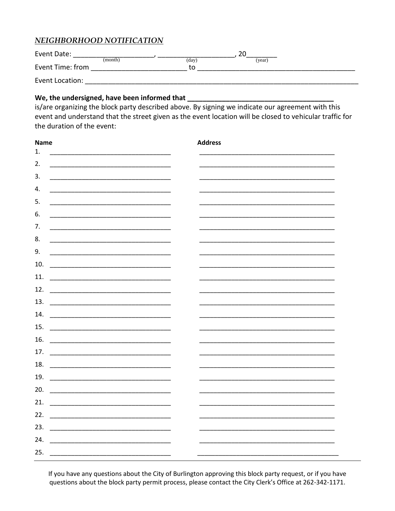## NEIGHBORHOOD NOTIFICATION

| Event Date:      |                  | ∠⊾     |  |
|------------------|------------------|--------|--|
|                  | (month)<br>(day) | (year) |  |
| Event Time: from | to               |        |  |
| Event Location:  |                  |        |  |

## We, the undersigned, have been informed that \_\_\_\_\_\_\_\_\_\_

is/are organizing the block party described above. By signing we indicate our agreement with this event and understand that the street given as the event location will be closed to vehicular traffic for the duration of the event:

| <b>Name</b>                                                                                                                  | <b>Address</b> |
|------------------------------------------------------------------------------------------------------------------------------|----------------|
| 1.                                                                                                                           |                |
| 2.<br><u> 1989 - Johann Harry Harry Harry Harry Harry Harry Harry Harry Harry Harry Harry Harry Harry Harry Harry Harry</u>  |                |
| 3.<br><u> 1989 - Johann John Harry Harry Harry Harry Harry Harry Harry Harry Harry Harry Harry Harry Harry Harry Harry H</u> |                |
| 4.                                                                                                                           |                |
| 5.<br><u> 1989 - Johann Barbara, martin amerikan basar dan bagian dan bagian dalam bagian dalam bagian dalam bagian da</u>   |                |
| 6.                                                                                                                           |                |
| 7.<br><u> 1999 - Johann Barn, mars ann an t-Amhain an t-Amhain an t-Amhain an t-Amhain an t-Amhain an t-Amhain an t-A</u>    |                |
| 8.<br><u> 1989 - Johann John Stone, mars et al. (1989)</u>                                                                   |                |
| 9.                                                                                                                           |                |
| 10.                                                                                                                          |                |
| 11.                                                                                                                          |                |
| 12.                                                                                                                          |                |
| 13.                                                                                                                          |                |
| 14.                                                                                                                          |                |
| 15.                                                                                                                          |                |
| 16.                                                                                                                          |                |
| 17.                                                                                                                          |                |
|                                                                                                                              |                |
| 18.                                                                                                                          |                |
| 19.                                                                                                                          |                |
| 20.                                                                                                                          |                |
| 21.                                                                                                                          |                |
| 22.                                                                                                                          |                |
| 23.                                                                                                                          |                |
| 24.                                                                                                                          |                |
| 25.                                                                                                                          |                |

If you have any questions about the City of Burlington approving this block party request, or if you have questions about the block party permit process, please contact the City Clerk's Office at 262-342-1171.